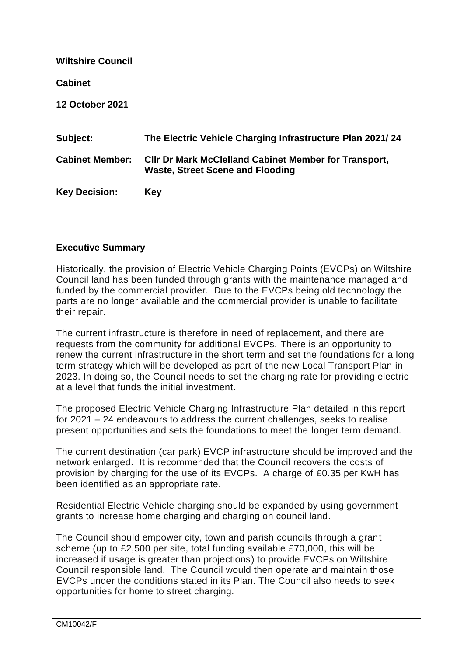| <b>Wiltshire Council</b> |                                                                                                         |
|--------------------------|---------------------------------------------------------------------------------------------------------|
| <b>Cabinet</b>           |                                                                                                         |
| <b>12 October 2021</b>   |                                                                                                         |
| Subject:                 | The Electric Vehicle Charging Infrastructure Plan 2021/24                                               |
| <b>Cabinet Member:</b>   | <b>CIIr Dr Mark McClelland Cabinet Member for Transport,</b><br><b>Waste, Street Scene and Flooding</b> |
| <b>Key Decision:</b>     | <b>Key</b>                                                                                              |

# **Executive Summary**

Historically, the provision of Electric Vehicle Charging Points (EVCPs) on Wiltshire Council land has been funded through grants with the maintenance managed and funded by the commercial provider. Due to the EVCPs being old technology the parts are no longer available and the commercial provider is unable to facilitate their repair.

The current infrastructure is therefore in need of replacement, and there are requests from the community for additional EVCPs. There is an opportunity to renew the current infrastructure in the short term and set the foundations for a long term strategy which will be developed as part of the new Local Transport Plan in 2023. In doing so, the Council needs to set the charging rate for providing electric at a level that funds the initial investment.

The proposed Electric Vehicle Charging Infrastructure Plan detailed in this report for 2021 – 24 endeavours to address the current challenges, seeks to realise present opportunities and sets the foundations to meet the longer term demand.

The current destination (car park) EVCP infrastructure should be improved and the network enlarged. It is recommended that the Council recovers the costs of provision by charging for the use of its EVCPs. A charge of £0.35 per KwH has been identified as an appropriate rate.

Residential Electric Vehicle charging should be expanded by using government grants to increase home charging and charging on council land.

The Council should empower city, town and parish councils through a grant scheme (up to £2,500 per site, total funding available £70,000, this will be increased if usage is greater than projections) to provide EVCPs on Wiltshire Council responsible land. The Council would then operate and maintain those EVCPs under the conditions stated in its Plan. The Council also needs to seek opportunities for home to street charging.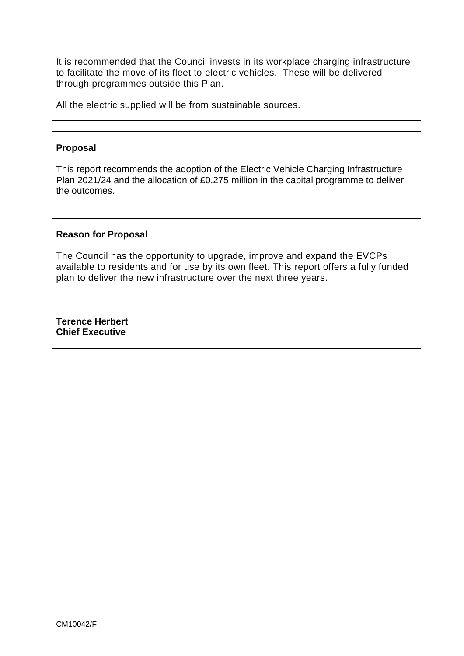It is recommended that the Council invests in its workplace charging infrastructure to facilitate the move of its fleet to electric vehicles. These will be delivered through programmes outside this Plan.

All the electric supplied will be from sustainable sources.

#### **Proposal**

This report recommends the adoption of the Electric Vehicle Charging Infrastructure Plan 2021/24 and the allocation of £0.275 million in the capital programme to deliver the outcomes.

#### **Reason for Proposal**

The Council has the opportunity to upgrade, improve and expand the EVCPs available to residents and for use by its own fleet. This report offers a fully funded plan to deliver the new infrastructure over the next three years.

**Terence Herbert Chief Executive**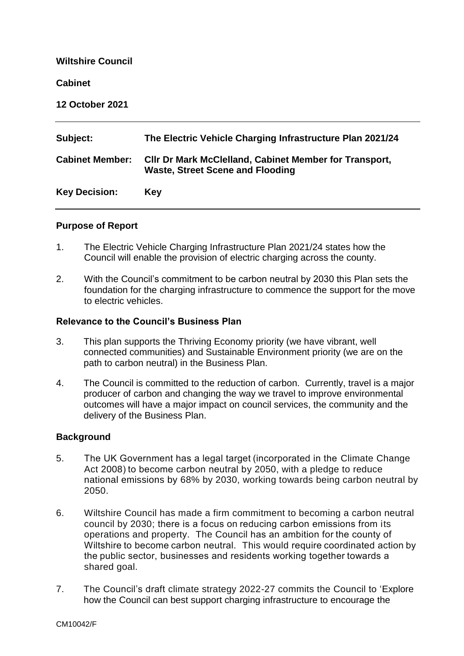| <b>Wiltshire Council</b> |                                                                                                          |
|--------------------------|----------------------------------------------------------------------------------------------------------|
| <b>Cabinet</b>           |                                                                                                          |
| <b>12 October 2021</b>   |                                                                                                          |
| Subject:                 | The Electric Vehicle Charging Infrastructure Plan 2021/24                                                |
| <b>Cabinet Member:</b>   | <b>CIIr Dr Mark McClelland, Cabinet Member for Transport,</b><br><b>Waste, Street Scene and Flooding</b> |
| <b>Key Decision:</b>     | <b>Key</b>                                                                                               |
|                          |                                                                                                          |

# **Purpose of Report**

- 1. The Electric Vehicle Charging Infrastructure Plan 2021/24 states how the Council will enable the provision of electric charging across the county.
- 2. With the Council's commitment to be carbon neutral by 2030 this Plan sets the foundation for the charging infrastructure to commence the support for the move to electric vehicles.

#### **Relevance to the Council's Business Plan**

- 3. This plan supports the Thriving Economy priority (we have vibrant, well connected communities) and Sustainable Environment priority (we are on the path to carbon neutral) in the Business Plan.
- 4. The Council is committed to the reduction of carbon. Currently, travel is a major producer of carbon and changing the way we travel to improve environmental outcomes will have a major impact on council services, the community and the delivery of the Business Plan.

# **Background**

- 5. The UK Government has a legal target (incorporated in the [Climate Change](http://www.legislation.gov.uk/ukpga/2008/27/contents)  [Act 2008\)](http://www.legislation.gov.uk/ukpga/2008/27/contents) to become carbon neutral by 2050, with a pledge to reduce national emissions by 68% by 2030, working towards being carbon neutral by 2050.
- 6. Wiltshire Council has made a firm commitment to becoming a carbon neutral council by 2030; there is a focus on reducing carbon emissions from its operations and property. The Council has an ambition for the county of Wiltshire to become carbon neutral. This would require coordinated action by the public sector, businesses and residents working together towards a shared goal.
- 7. The Council's draft climate strategy 2022-27 commits the Council to 'Explore how the Council can best support charging infrastructure to encourage the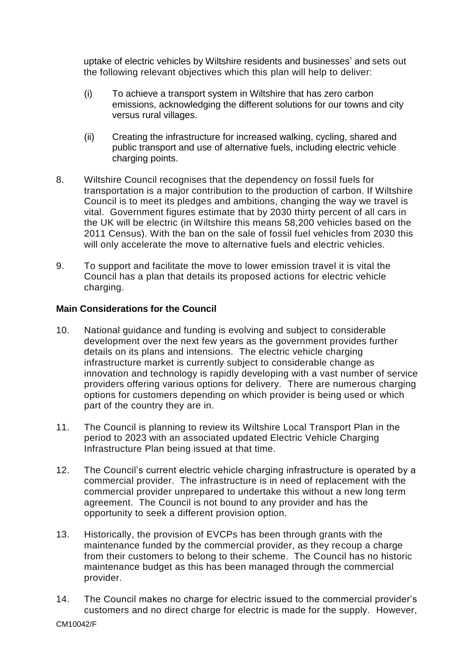uptake of electric vehicles by Wiltshire residents and businesses' and sets out the following relevant objectives which this plan will help to deliver:

- (i) To achieve a transport system in Wiltshire that has zero carbon emissions, acknowledging the different solutions for our towns and city versus rural villages.
- (ii) Creating the infrastructure for increased walking, cycling, shared and public transport and use of alternative fuels, including electric vehicle charging points.
- 8. Wiltshire Council recognises that the dependency on fossil fuels for transportation is a major contribution to the production of carbon. If Wiltshire Council is to meet its pledges and ambitions, changing the way we travel is vital. Government figures estimate that by 2030 thirty percent of all cars in the UK will be electric (in Wiltshire this means 58,200 vehicles based on the 2011 Census). With the ban on the sale of fossil fuel vehicles from 2030 this will only accelerate the move to alternative fuels and electric vehicles.
- 9. To support and facilitate the move to lower emission travel it is vital the Council has a plan that details its proposed actions for electric vehicle charging.

# **Main Considerations for the Council**

- 10. National guidance and funding is evolving and subject to considerable development over the next few years as the government provides further details on its plans and intensions. The electric vehicle charging infrastructure market is currently subject to considerable change as innovation and technology is rapidly developing with a vast number of service providers offering various options for delivery. There are numerous charging options for customers depending on which provider is being used or which part of the country they are in.
- 11. The Council is planning to review its Wiltshire Local Transport Plan in the period to 2023 with an associated updated Electric Vehicle Charging Infrastructure Plan being issued at that time.
- 12. The Council's current electric vehicle charging infrastructure is operated by a commercial provider. The infrastructure is in need of replacement with the commercial provider unprepared to undertake this without a new long term agreement. The Council is not bound to any provider and has the opportunity to seek a different provision option.
- 13. Historically, the provision of EVCPs has been through grants with the maintenance funded by the commercial provider, as they recoup a charge from their customers to belong to their scheme. The Council has no historic maintenance budget as this has been managed through the commercial provider.
- 14. The Council makes no charge for electric issued to the commercial provider's customers and no direct charge for electric is made for the supply. However,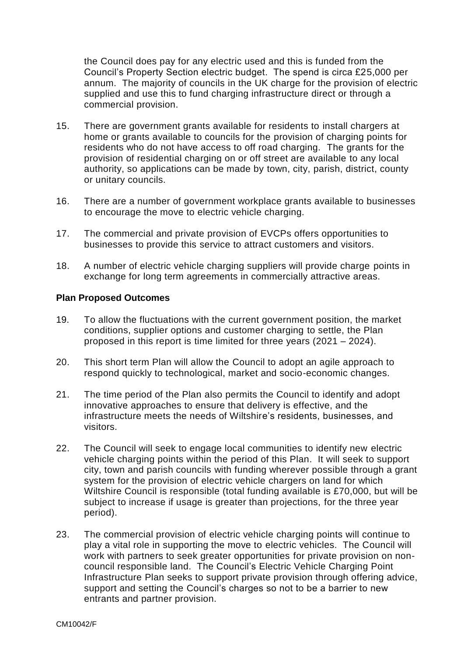the Council does pay for any electric used and this is funded from the Council's Property Section electric budget. The spend is circa £25,000 per annum. The majority of councils in the UK charge for the provision of electric supplied and use this to fund charging infrastructure direct or through a commercial provision.

- 15. There are government grants available for residents to install chargers at home or grants available to councils for the provision of charging points for residents who do not have access to off road charging. The grants for the provision of residential charging on or off street are available to any local authority, so applications can be made by town, city, parish, district, county or unitary councils.
- 16. There are a number of government workplace grants available to businesses to encourage the move to electric vehicle charging.
- 17. The commercial and private provision of EVCPs offers opportunities to businesses to provide this service to attract customers and visitors.
- 18. A number of electric vehicle charging suppliers will provide charge points in exchange for long term agreements in commercially attractive areas.

#### **Plan Proposed Outcomes**

- 19. To allow the fluctuations with the current government position, the market conditions, supplier options and customer charging to settle, the Plan proposed in this report is time limited for three years (2021 – 2024).
- 20. This short term Plan will allow the Council to adopt an agile approach to respond quickly to technological, market and socio-economic changes.
- 21. The time period of the Plan also permits the Council to identify and adopt innovative approaches to ensure that delivery is effective, and the infrastructure meets the needs of Wiltshire's residents, businesses, and visitors.
- 22. The Council will seek to engage local communities to identify new electric vehicle charging points within the period of this Plan. It will seek to support city, town and parish councils with funding wherever possible through a grant system for the provision of electric vehicle chargers on land for which Wiltshire Council is responsible (total funding available is £70,000, but will be subject to increase if usage is greater than projections, for the three year period).
- 23. The commercial provision of electric vehicle charging points will continue to play a vital role in supporting the move to electric vehicles. The Council will work with partners to seek greater opportunities for private provision on noncouncil responsible land. The Council's Electric Vehicle Charging Point Infrastructure Plan seeks to support private provision through offering advice, support and setting the Council's charges so not to be a barrier to new entrants and partner provision.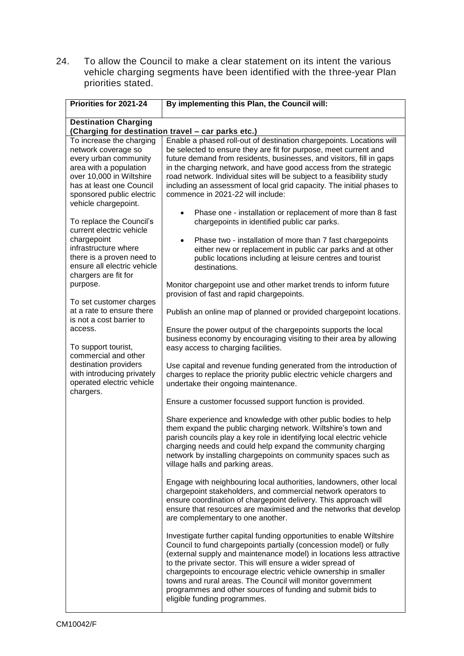24. To allow the Council to make a clear statement on its intent the various vehicle charging segments have been identified with the three-year Plan priorities stated.

| Priorities for 2021-24                                                                                                                                                                                          | By implementing this Plan, the Council will:                                                                                                                                                                                                                                                                                                                                                                                                                                                                    |  |  |
|-----------------------------------------------------------------------------------------------------------------------------------------------------------------------------------------------------------------|-----------------------------------------------------------------------------------------------------------------------------------------------------------------------------------------------------------------------------------------------------------------------------------------------------------------------------------------------------------------------------------------------------------------------------------------------------------------------------------------------------------------|--|--|
| <b>Destination Charging</b><br>(Charging for destination travel - car parks etc.)                                                                                                                               |                                                                                                                                                                                                                                                                                                                                                                                                                                                                                                                 |  |  |
| To increase the charging<br>network coverage so<br>every urban community<br>area with a population<br>over 10,000 in Wiltshire<br>has at least one Council<br>sponsored public electric<br>vehicle chargepoint. | Enable a phased roll-out of destination chargepoints. Locations will<br>be selected to ensure they are fit for purpose, meet current and<br>future demand from residents, businesses, and visitors, fill in gaps<br>in the charging network, and have good access from the strategic<br>road network. Individual sites will be subject to a feasibility study<br>including an assessment of local grid capacity. The initial phases to<br>commence in 2021-22 will include:                                     |  |  |
| To replace the Council's<br>current electric vehicle<br>chargepoint<br>infrastructure where<br>there is a proven need to<br>ensure all electric vehicle                                                         | Phase one - installation or replacement of more than 8 fast<br>$\bullet$<br>chargepoints in identified public car parks.<br>Phase two - installation of more than 7 fast chargepoints<br>$\bullet$<br>either new or replacement in public car parks and at other<br>public locations including at leisure centres and tourist<br>destinations.                                                                                                                                                                  |  |  |
| chargers are fit for<br>purpose.                                                                                                                                                                                | Monitor chargepoint use and other market trends to inform future<br>provision of fast and rapid chargepoints.                                                                                                                                                                                                                                                                                                                                                                                                   |  |  |
| To set customer charges<br>at a rate to ensure there<br>is not a cost barrier to                                                                                                                                | Publish an online map of planned or provided chargepoint locations.                                                                                                                                                                                                                                                                                                                                                                                                                                             |  |  |
| access.<br>To support tourist,<br>commercial and other<br>destination providers<br>with introducing privately<br>operated electric vehicle<br>chargers.                                                         | Ensure the power output of the chargepoints supports the local<br>business economy by encouraging visiting to their area by allowing<br>easy access to charging facilities.                                                                                                                                                                                                                                                                                                                                     |  |  |
|                                                                                                                                                                                                                 | Use capital and revenue funding generated from the introduction of<br>charges to replace the priority public electric vehicle chargers and<br>undertake their ongoing maintenance.                                                                                                                                                                                                                                                                                                                              |  |  |
|                                                                                                                                                                                                                 | Ensure a customer focussed support function is provided.                                                                                                                                                                                                                                                                                                                                                                                                                                                        |  |  |
|                                                                                                                                                                                                                 | Share experience and knowledge with other public bodies to help<br>them expand the public charging network. Wiltshire's town and<br>parish councils play a key role in identifying local electric vehicle<br>charging needs and could help expand the community charging<br>network by installing chargepoints on community spaces such as<br>village halls and parking areas.                                                                                                                                  |  |  |
|                                                                                                                                                                                                                 | Engage with neighbouring local authorities, landowners, other local<br>chargepoint stakeholders, and commercial network operators to<br>ensure coordination of chargepoint delivery. This approach will<br>ensure that resources are maximised and the networks that develop<br>are complementary to one another.                                                                                                                                                                                               |  |  |
|                                                                                                                                                                                                                 | Investigate further capital funding opportunities to enable Wiltshire<br>Council to fund chargepoints partially (concession model) or fully<br>(external supply and maintenance model) in locations less attractive<br>to the private sector. This will ensure a wider spread of<br>chargepoints to encourage electric vehicle ownership in smaller<br>towns and rural areas. The Council will monitor government<br>programmes and other sources of funding and submit bids to<br>eligible funding programmes. |  |  |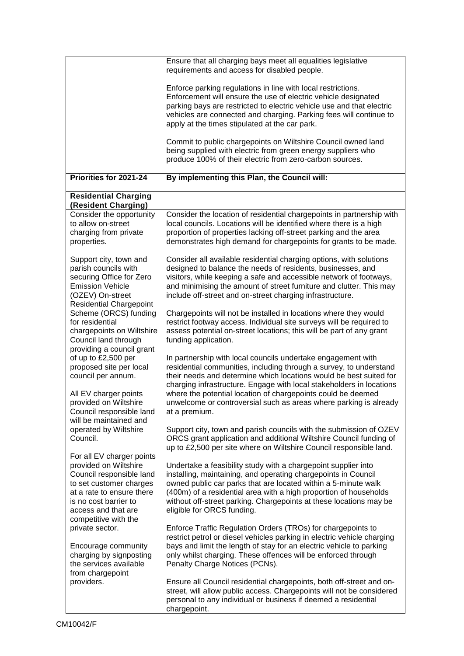|                                                                                                                                                                                                                | Ensure that all charging bays meet all equalities legislative<br>requirements and access for disabled people.                                                                                                                                                                                                                                                                                                                                                    |
|----------------------------------------------------------------------------------------------------------------------------------------------------------------------------------------------------------------|------------------------------------------------------------------------------------------------------------------------------------------------------------------------------------------------------------------------------------------------------------------------------------------------------------------------------------------------------------------------------------------------------------------------------------------------------------------|
|                                                                                                                                                                                                                | Enforce parking regulations in line with local restrictions.<br>Enforcement will ensure the use of electric vehicle designated<br>parking bays are restricted to electric vehicle use and that electric<br>vehicles are connected and charging. Parking fees will continue to<br>apply at the times stipulated at the car park.<br>Commit to public chargepoints on Wiltshire Council owned land<br>being supplied with electric from green energy suppliers who |
|                                                                                                                                                                                                                | produce 100% of their electric from zero-carbon sources.                                                                                                                                                                                                                                                                                                                                                                                                         |
| Priorities for 2021-24                                                                                                                                                                                         | By implementing this Plan, the Council will:                                                                                                                                                                                                                                                                                                                                                                                                                     |
| <b>Residential Charging</b><br>(Resident Charging)                                                                                                                                                             |                                                                                                                                                                                                                                                                                                                                                                                                                                                                  |
| Consider the opportunity<br>to allow on-street<br>charging from private<br>properties.                                                                                                                         | Consider the location of residential chargepoints in partnership with<br>local councils. Locations will be identified where there is a high<br>proportion of properties lacking off-street parking and the area<br>demonstrates high demand for chargepoints for grants to be made.                                                                                                                                                                              |
| Support city, town and<br>parish councils with<br>securing Office for Zero<br><b>Emission Vehicle</b><br>(OZEV) On-street<br><b>Residential Chargepoint</b>                                                    | Consider all available residential charging options, with solutions<br>designed to balance the needs of residents, businesses, and<br>visitors, while keeping a safe and accessible network of footways,<br>and minimising the amount of street furniture and clutter. This may<br>include off-street and on-street charging infrastructure.                                                                                                                     |
| Scheme (ORCS) funding<br>for residential<br>chargepoints on Wiltshire<br>Council land through<br>providing a council grant                                                                                     | Chargepoints will not be installed in locations where they would<br>restrict footway access. Individual site surveys will be required to<br>assess potential on-street locations; this will be part of any grant<br>funding application.                                                                                                                                                                                                                         |
| of up to £2,500 per<br>proposed site per local<br>council per annum.                                                                                                                                           | In partnership with local councils undertake engagement with<br>residential communities, including through a survey, to understand<br>their needs and determine which locations would be best suited for<br>charging infrastructure. Engage with local stakeholders in locations                                                                                                                                                                                 |
| All EV charger points<br>provided on Wiltshire<br>Council responsible land<br>will be maintained and                                                                                                           | where the potential location of chargepoints could be deemed<br>unwelcome or controversial such as areas where parking is already<br>at a premium.                                                                                                                                                                                                                                                                                                               |
| operated by Wiltshire<br>Council.                                                                                                                                                                              | Support city, town and parish councils with the submission of OZEV<br>ORCS grant application and additional Wiltshire Council funding of<br>up to £2,500 per site where on Wiltshire Council responsible land.                                                                                                                                                                                                                                                   |
| For all EV charger points<br>provided on Wiltshire<br>Council responsible land<br>to set customer charges<br>at a rate to ensure there<br>is no cost barrier to<br>access and that are<br>competitive with the | Undertake a feasibility study with a chargepoint supplier into<br>installing, maintaining, and operating chargepoints in Council<br>owned public car parks that are located within a 5-minute walk<br>(400m) of a residential area with a high proportion of households<br>without off-street parking. Chargepoints at these locations may be<br>eligible for ORCS funding.                                                                                      |
| private sector.<br>Encourage community<br>charging by signposting<br>the services available<br>from chargepoint                                                                                                | Enforce Traffic Regulation Orders (TROs) for chargepoints to<br>restrict petrol or diesel vehicles parking in electric vehicle charging<br>bays and limit the length of stay for an electric vehicle to parking<br>only whilst charging. These offences will be enforced through<br>Penalty Charge Notices (PCNs).                                                                                                                                               |
| providers.                                                                                                                                                                                                     | Ensure all Council residential chargepoints, both off-street and on-<br>street, will allow public access. Chargepoints will not be considered<br>personal to any individual or business if deemed a residential<br>chargepoint.                                                                                                                                                                                                                                  |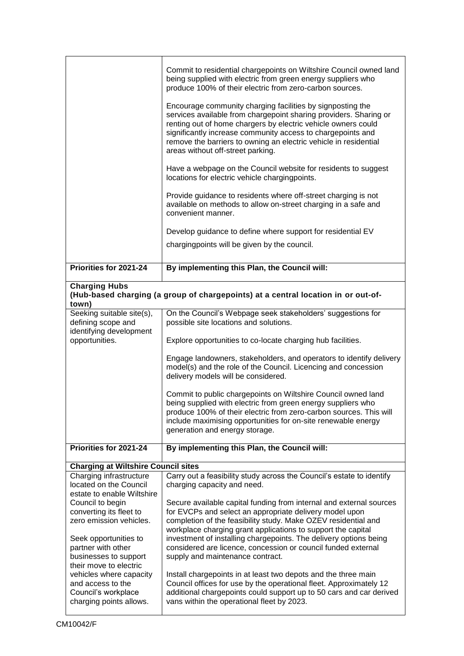|                                                                                                | Commit to residential chargepoints on Wiltshire Council owned land<br>being supplied with electric from green energy suppliers who<br>produce 100% of their electric from zero-carbon sources.<br>Encourage community charging facilities by signposting the<br>services available from chargepoint sharing providers. Sharing or<br>renting out of home chargers by electric vehicle owners could |  |  |  |  |
|------------------------------------------------------------------------------------------------|----------------------------------------------------------------------------------------------------------------------------------------------------------------------------------------------------------------------------------------------------------------------------------------------------------------------------------------------------------------------------------------------------|--|--|--|--|
|                                                                                                | significantly increase community access to chargepoints and<br>remove the barriers to owning an electric vehicle in residential<br>areas without off-street parking.                                                                                                                                                                                                                               |  |  |  |  |
|                                                                                                | Have a webpage on the Council website for residents to suggest<br>locations for electric vehicle chargingpoints.                                                                                                                                                                                                                                                                                   |  |  |  |  |
|                                                                                                | Provide guidance to residents where off-street charging is not<br>available on methods to allow on-street charging in a safe and<br>convenient manner.                                                                                                                                                                                                                                             |  |  |  |  |
|                                                                                                | Develop guidance to define where support for residential EV                                                                                                                                                                                                                                                                                                                                        |  |  |  |  |
|                                                                                                | chargingpoints will be given by the council.                                                                                                                                                                                                                                                                                                                                                       |  |  |  |  |
| Priorities for 2021-24                                                                         | By implementing this Plan, the Council will:                                                                                                                                                                                                                                                                                                                                                       |  |  |  |  |
| <b>Charging Hubs</b>                                                                           | (Hub-based charging (a group of chargepoints) at a central location in or out-of-                                                                                                                                                                                                                                                                                                                  |  |  |  |  |
| town)                                                                                          |                                                                                                                                                                                                                                                                                                                                                                                                    |  |  |  |  |
| Seeking suitable site(s),<br>defining scope and<br>identifying development                     | On the Council's Webpage seek stakeholders' suggestions for<br>possible site locations and solutions.                                                                                                                                                                                                                                                                                              |  |  |  |  |
| opportunities.                                                                                 | Explore opportunities to co-locate charging hub facilities.                                                                                                                                                                                                                                                                                                                                        |  |  |  |  |
|                                                                                                | Engage landowners, stakeholders, and operators to identify delivery<br>model(s) and the role of the Council. Licencing and concession<br>delivery models will be considered.                                                                                                                                                                                                                       |  |  |  |  |
|                                                                                                | Commit to public chargepoints on Wiltshire Council owned land<br>being supplied with electric from green energy suppliers who<br>produce 100% of their electric from zero-carbon sources. This will<br>include maximising opportunities for on-site renewable energy<br>generation and energy storage.                                                                                             |  |  |  |  |
| Priorities for 2021-24                                                                         | By implementing this Plan, the Council will:                                                                                                                                                                                                                                                                                                                                                       |  |  |  |  |
| <b>Charging at Wiltshire Council sites</b>                                                     |                                                                                                                                                                                                                                                                                                                                                                                                    |  |  |  |  |
| Charging infrastructure<br>located on the Council                                              | Carry out a feasibility study across the Council's estate to identify<br>charging capacity and need.                                                                                                                                                                                                                                                                                               |  |  |  |  |
| estate to enable Wiltshire<br>Council to begin                                                 | Secure available capital funding from internal and external sources                                                                                                                                                                                                                                                                                                                                |  |  |  |  |
| converting its fleet to                                                                        | for EVCPs and select an appropriate delivery model upon                                                                                                                                                                                                                                                                                                                                            |  |  |  |  |
| zero emission vehicles.                                                                        | completion of the feasibility study. Make OZEV residential and<br>workplace charging grant applications to support the capital                                                                                                                                                                                                                                                                     |  |  |  |  |
| Seek opportunities to<br>partner with other<br>businesses to support<br>their move to electric | investment of installing chargepoints. The delivery options being<br>considered are licence, concession or council funded external<br>supply and maintenance contract.                                                                                                                                                                                                                             |  |  |  |  |
| vehicles where capacity<br>and access to the<br>Council's workplace<br>charging points allows. | Install chargepoints in at least two depots and the three main<br>Council offices for use by the operational fleet. Approximately 12<br>additional chargepoints could support up to 50 cars and car derived<br>vans within the operational fleet by 2023.                                                                                                                                          |  |  |  |  |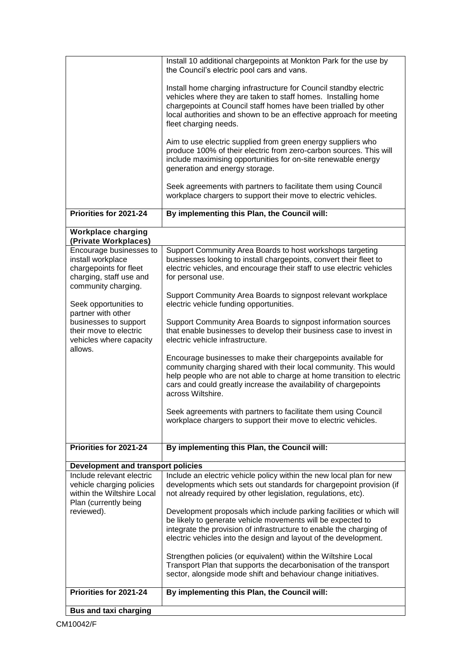|                                                                                                                          | Install 10 additional chargepoints at Monkton Park for the use by<br>the Council's electric pool cars and vans.                                                                                                                                                                                       |
|--------------------------------------------------------------------------------------------------------------------------|-------------------------------------------------------------------------------------------------------------------------------------------------------------------------------------------------------------------------------------------------------------------------------------------------------|
|                                                                                                                          | Install home charging infrastructure for Council standby electric<br>vehicles where they are taken to staff homes. Installing home<br>chargepoints at Council staff homes have been trialled by other<br>local authorities and shown to be an effective approach for meeting<br>fleet charging needs. |
|                                                                                                                          | Aim to use electric supplied from green energy suppliers who<br>produce 100% of their electric from zero-carbon sources. This will<br>include maximising opportunities for on-site renewable energy<br>generation and energy storage.                                                                 |
|                                                                                                                          | Seek agreements with partners to facilitate them using Council<br>workplace chargers to support their move to electric vehicles.                                                                                                                                                                      |
| Priorities for 2021-24                                                                                                   | By implementing this Plan, the Council will:                                                                                                                                                                                                                                                          |
| <b>Workplace charging</b><br>(Private Workplaces)                                                                        |                                                                                                                                                                                                                                                                                                       |
| Encourage businesses to<br>install workplace<br>chargepoints for fleet<br>charging, staff use and<br>community charging. | Support Community Area Boards to host workshops targeting<br>businesses looking to install chargepoints, convert their fleet to<br>electric vehicles, and encourage their staff to use electric vehicles<br>for personal use.                                                                         |
| Seek opportunities to                                                                                                    | Support Community Area Boards to signpost relevant workplace<br>electric vehicle funding opportunities.                                                                                                                                                                                               |
| partner with other<br>businesses to support<br>their move to electric<br>vehicles where capacity<br>allows.              | Support Community Area Boards to signpost information sources<br>that enable businesses to develop their business case to invest in<br>electric vehicle infrastructure.                                                                                                                               |
|                                                                                                                          | Encourage businesses to make their chargepoints available for<br>community charging shared with their local community. This would<br>help people who are not able to charge at home transition to electric<br>cars and could greatly increase the availability of chargepoints<br>across Wiltshire.   |
|                                                                                                                          | Seek agreements with partners to facilitate them using Council<br>workplace chargers to support their move to electric vehicles.                                                                                                                                                                      |
| Priorities for 2021-24                                                                                                   | By implementing this Plan, the Council will:                                                                                                                                                                                                                                                          |
| Development and transport policies                                                                                       |                                                                                                                                                                                                                                                                                                       |
| Include relevant electric<br>vehicle charging policies<br>within the Wiltshire Local<br>Plan (currently being            | Include an electric vehicle policy within the new local plan for new<br>developments which sets out standards for chargepoint provision (if<br>not already required by other legislation, regulations, etc).                                                                                          |
| reviewed).                                                                                                               | Development proposals which include parking facilities or which will<br>be likely to generate vehicle movements will be expected to<br>integrate the provision of infrastructure to enable the charging of<br>electric vehicles into the design and layout of the development.                        |
|                                                                                                                          | Strengthen policies (or equivalent) within the Wiltshire Local<br>Transport Plan that supports the decarbonisation of the transport<br>sector, alongside mode shift and behaviour change initiatives.                                                                                                 |
| Priorities for 2021-24                                                                                                   | By implementing this Plan, the Council will:                                                                                                                                                                                                                                                          |
| <b>Bus and taxi charging</b>                                                                                             |                                                                                                                                                                                                                                                                                                       |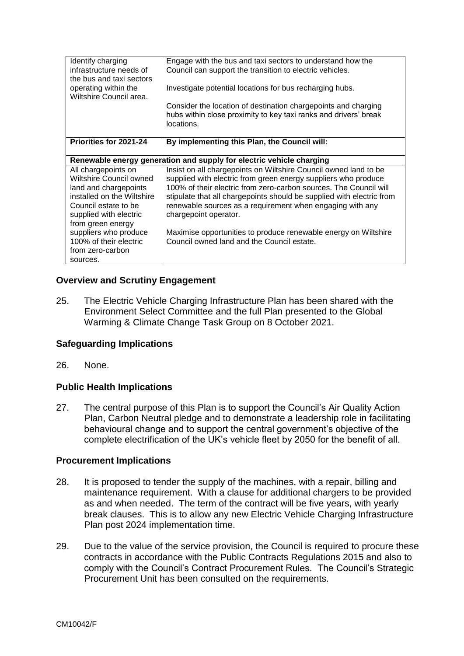| Identify charging<br>infrastructure needs of<br>the bus and taxi sectors | Engage with the bus and taxi sectors to understand how the<br>Council can support the transition to electric vehicles. |  |
|--------------------------------------------------------------------------|------------------------------------------------------------------------------------------------------------------------|--|
| operating within the<br>Wiltshire Council area.                          | Investigate potential locations for bus recharging hubs.                                                               |  |
|                                                                          | Consider the location of destination chargepoints and charging                                                         |  |
|                                                                          | hubs within close proximity to key taxi ranks and drivers' break<br>locations.                                         |  |
| Priorities for 2021-24                                                   | By implementing this Plan, the Council will:                                                                           |  |
| Renewable energy generation and supply for electric vehicle charging     |                                                                                                                        |  |
| All chargepoints on                                                      | Insist on all chargepoints on Wiltshire Council owned land to be                                                       |  |
| Wiltshire Council owned                                                  | supplied with electric from green energy suppliers who produce                                                         |  |
| land and chargepoints                                                    | 100% of their electric from zero-carbon sources. The Council will                                                      |  |
| installed on the Wiltshire                                               | stipulate that all chargepoints should be supplied with electric from                                                  |  |
| Council estate to be                                                     | renewable sources as a requirement when engaging with any                                                              |  |
| supplied with electric                                                   | chargepoint operator.                                                                                                  |  |
| from green energy                                                        |                                                                                                                        |  |
| suppliers who produce                                                    | Maximise opportunities to produce renewable energy on Wiltshire                                                        |  |
| 100% of their electric                                                   | Council owned land and the Council estate.                                                                             |  |
| from zero-carbon                                                         |                                                                                                                        |  |
| sources.                                                                 |                                                                                                                        |  |

# **Overview and Scrutiny Engagement**

25. The Electric Vehicle Charging Infrastructure Plan has been shared with the Environment Select Committee and the full Plan presented to the Global Warming & Climate Change Task Group on 8 October 2021.

# **Safeguarding Implications**

26. None.

# **Public Health Implications**

27. The central purpose of this Plan is to support the Council's Air Quality Action Plan, Carbon Neutral pledge and to demonstrate a leadership role in facilitating behavioural change and to support the central government's objective of the complete electrification of the UK's vehicle fleet by 2050 for the benefit of all.

#### **Procurement Implications**

- 28. It is proposed to tender the supply of the machines, with a repair, billing and maintenance requirement. With a clause for additional chargers to be provided as and when needed. The term of the contract will be five years, with yearly break clauses. This is to allow any new Electric Vehicle Charging Infrastructure Plan post 2024 implementation time.
- 29. Due to the value of the service provision, the Council is required to procure these contracts in accordance with the Public Contracts Regulations 2015 and also to comply with the Council's Contract Procurement Rules. The Council's Strategic Procurement Unit has been consulted on the requirements.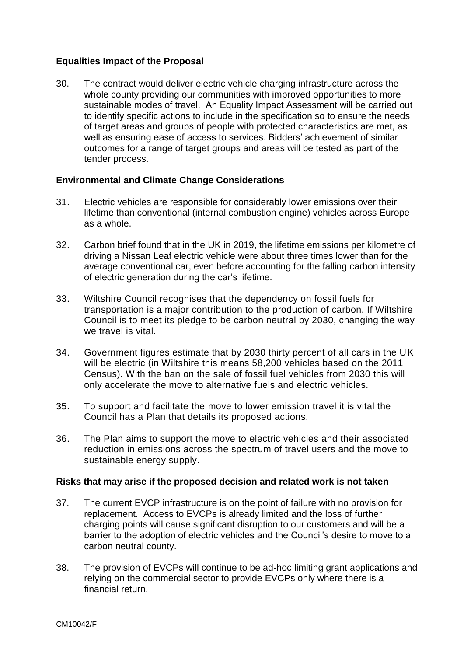# **Equalities Impact of the Proposal**

30. The contract would deliver electric vehicle charging infrastructure across the whole county providing our communities with improved opportunities to more sustainable modes of travel. An Equality Impact Assessment will be carried out to identify specific actions to include in the specification so to ensure the needs of target areas and groups of people with protected characteristics are met, as well as ensuring ease of access to services. Bidders' achievement of similar outcomes for a range of target groups and areas will be tested as part of the tender process.

# **Environmental and Climate Change Considerations**

- 31. Electric vehicles are responsible for considerably lower emissions over their lifetime than conventional (internal combustion engine) vehicles across Europe as a whole.
- 32. [Carbon brief](https://www.carbonbrief.org/factcheck-how-electric-vehicles-help-to-tackle-climate-change) found that in the UK in 2019, the lifetime emissions per kilometre of driving a Nissan Leaf electric vehicle were about three times lower than for the average conventional car, even before accounting for the falling carbon intensity of electric generation during the car's lifetime.
- 33. Wiltshire Council recognises that the dependency on fossil fuels for transportation is a major contribution to the production of carbon. If Wiltshire Council is to meet its pledge to be carbon neutral by 2030, changing the way we travel is vital.
- 34. Government figures estimate that by 2030 thirty percent of all cars in the UK will be electric (in Wiltshire this means 58,200 vehicles based on the 2011 Census). With the ban on the sale of fossil fuel vehicles from 2030 this will only accelerate the move to alternative fuels and electric vehicles.
- 35. To support and facilitate the move to lower emission travel it is vital the Council has a Plan that details its proposed actions.
- 36. The Plan aims to support the move to electric vehicles and their associated reduction in emissions across the spectrum of travel users and the move to sustainable energy supply.

# **Risks that may arise if the proposed decision and related work is not taken**

- 37. The current EVCP infrastructure is on the point of failure with no provision for replacement. Access to EVCPs is already limited and the loss of further charging points will cause significant disruption to our customers and will be a barrier to the adoption of electric vehicles and the Council's desire to move to a carbon neutral county.
- 38. The provision of EVCPs will continue to be ad-hoc limiting grant applications and relying on the commercial sector to provide EVCPs only where there is a financial return.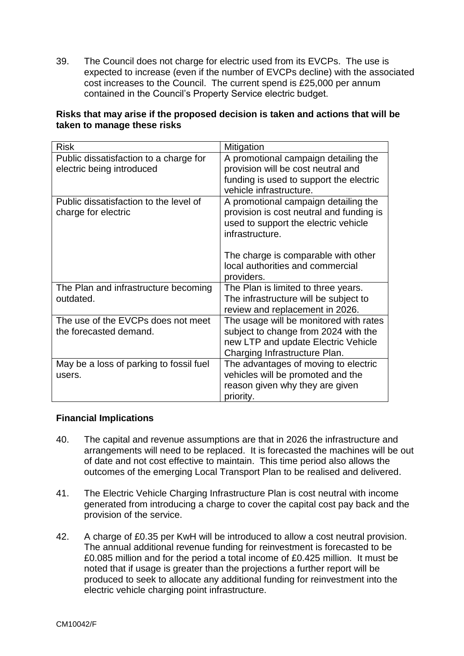39. The Council does not charge for electric used from its EVCPs. The use is expected to increase (even if the number of EVCPs decline) with the associated cost increases to the Council. The current spend is £25,000 per annum contained in the Council's Property Service electric budget.

| <b>Risk</b>                             | Mitigation                                                         |
|-----------------------------------------|--------------------------------------------------------------------|
| Public dissatisfaction to a charge for  | A promotional campaign detailing the                               |
| electric being introduced               | provision will be cost neutral and                                 |
|                                         | funding is used to support the electric<br>vehicle infrastructure. |
| Public dissatisfaction to the level of  | A promotional campaign detailing the                               |
| charge for electric                     | provision is cost neutral and funding is                           |
|                                         | used to support the electric vehicle                               |
|                                         | infrastructure.                                                    |
|                                         | The charge is comparable with other                                |
|                                         | local authorities and commercial                                   |
|                                         | providers.                                                         |
| The Plan and infrastructure becoming    | The Plan is limited to three years.                                |
| outdated.                               | The infrastructure will be subject to                              |
|                                         | review and replacement in 2026.                                    |
| The use of the EVCPs does not meet      | The usage will be monitored with rates                             |
| the forecasted demand.                  | subject to change from 2024 with the                               |
|                                         | new LTP and update Electric Vehicle                                |
|                                         | Charging Infrastructure Plan.                                      |
| May be a loss of parking to fossil fuel | The advantages of moving to electric                               |
| users.                                  | vehicles will be promoted and the                                  |
|                                         | reason given why they are given                                    |
|                                         | priority.                                                          |

# **Risks that may arise if the proposed decision is taken and actions that will be taken to manage these risks**

# **Financial Implications**

- 40. The capital and revenue assumptions are that in 2026 the infrastructure and arrangements will need to be replaced. It is forecasted the machines will be out of date and not cost effective to maintain. This time period also allows the outcomes of the emerging Local Transport Plan to be realised and delivered.
- 41. The Electric Vehicle Charging Infrastructure Plan is cost neutral with income generated from introducing a charge to cover the capital cost pay back and the provision of the service.
- 42. A charge of £0.35 per KwH will be introduced to allow a cost neutral provision. The annual additional revenue funding for reinvestment is forecasted to be £0.085 million and for the period a total income of £0.425 million. It must be noted that if usage is greater than the projections a further report will be produced to seek to allocate any additional funding for reinvestment into the electric vehicle charging point infrastructure.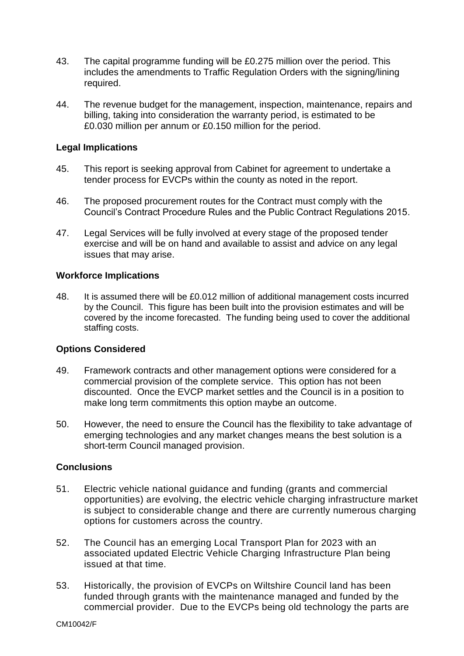- 43. The capital programme funding will be £0.275 million over the period. This includes the amendments to Traffic Regulation Orders with the signing/lining required.
- 44. The revenue budget for the management, inspection, maintenance, repairs and billing, taking into consideration the warranty period, is estimated to be £0.030 million per annum or £0.150 million for the period.

#### **Legal Implications**

- 45. This report is seeking approval from Cabinet for agreement to undertake a tender process for EVCPs within the county as noted in the report.
- 46. The proposed procurement routes for the Contract must comply with the Council's Contract Procedure Rules and the Public Contract Regulations 2015.
- 47. Legal Services will be fully involved at every stage of the proposed tender exercise and will be on hand and available to assist and advice on any legal issues that may arise.

#### **Workforce Implications**

48. It is assumed there will be £0.012 million of additional management costs incurred by the Council. This figure has been built into the provision estimates and will be covered by the income forecasted. The funding being used to cover the additional staffing costs.

# **Options Considered**

- 49. Framework contracts and other management options were considered for a commercial provision of the complete service. This option has not been discounted. Once the EVCP market settles and the Council is in a position to make long term commitments this option maybe an outcome.
- 50. However, the need to ensure the Council has the flexibility to take advantage of emerging technologies and any market changes means the best solution is a short-term Council managed provision.

#### **Conclusions**

- 51. Electric vehicle national guidance and funding (grants and commercial opportunities) are evolving, the electric vehicle charging infrastructure market is subject to considerable change and there are currently numerous charging options for customers across the country.
- 52. The Council has an emerging Local Transport Plan for 2023 with an associated updated Electric Vehicle Charging Infrastructure Plan being issued at that time.
- 53. Historically, the provision of EVCPs on Wiltshire Council land has been funded through grants with the maintenance managed and funded by the commercial provider. Due to the EVCPs being old technology the parts are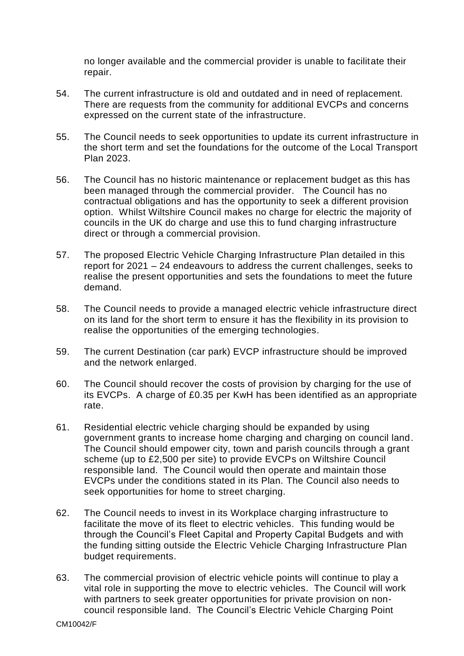no longer available and the commercial provider is unable to facilitate their repair.

- 54. The current infrastructure is old and outdated and in need of replacement. There are requests from the community for additional EVCPs and concerns expressed on the current state of the infrastructure.
- 55. The Council needs to seek opportunities to update its current infrastructure in the short term and set the foundations for the outcome of the Local Transport Plan 2023.
- 56. The Council has no historic maintenance or replacement budget as this has been managed through the commercial provider. The Council has no contractual obligations and has the opportunity to seek a different provision option. Whilst Wiltshire Council makes no charge for electric the majority of councils in the UK do charge and use this to fund charging infrastructure direct or through a commercial provision.
- 57. The proposed Electric Vehicle Charging Infrastructure Plan detailed in this report for 2021 – 24 endeavours to address the current challenges, seeks to realise the present opportunities and sets the foundations to meet the future demand.
- 58. The Council needs to provide a managed electric vehicle infrastructure direct on its land for the short term to ensure it has the flexibility in its provision to realise the opportunities of the emerging technologies.
- 59. The current Destination (car park) EVCP infrastructure should be improved and the network enlarged.
- 60. The Council should recover the costs of provision by charging for the use of its EVCPs. A charge of £0.35 per KwH has been identified as an appropriate rate.
- 61. Residential electric vehicle charging should be expanded by using government grants to increase home charging and charging on council land. The Council should empower city, town and parish councils through a grant scheme (up to £2,500 per site) to provide EVCPs on Wiltshire Council responsible land. The Council would then operate and maintain those EVCPs under the conditions stated in its Plan. The Council also needs to seek opportunities for home to street charging.
- 62. The Council needs to invest in its Workplace charging infrastructure to facilitate the move of its fleet to electric vehicles. This funding would be through the Council's Fleet Capital and Property Capital Budgets and with the funding sitting outside the Electric Vehicle Charging Infrastructure Plan budget requirements.
- 63. The commercial provision of electric vehicle points will continue to play a vital role in supporting the move to electric vehicles. The Council will work with partners to seek greater opportunities for private provision on noncouncil responsible land. The Council's Electric Vehicle Charging Point